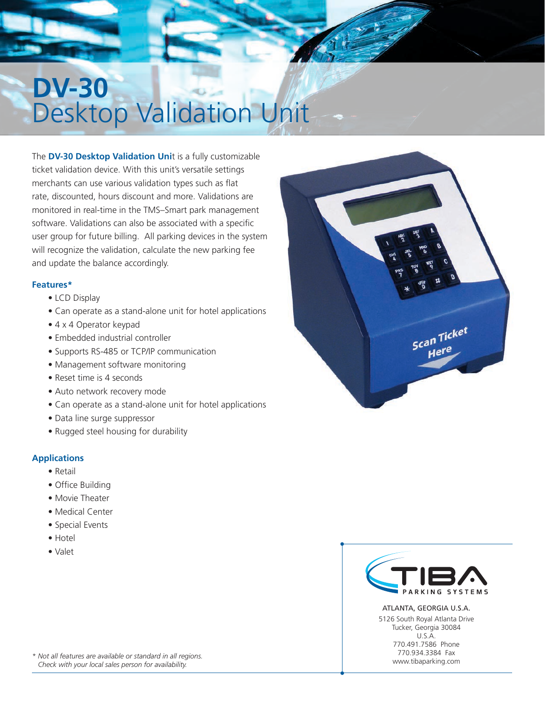# **DV-30** Desktop Validation Unit

The **DV-30 Desktop Validation Uni**t is a fully customizable ticket validation device. With this unit's versatile settings merchants can use various validation types such as flat rate, discounted, hours discount and more. Validations are monitored in real-time in the TMS–Smart park management software. Validations can also be associated with a specific user group for future billing. All parking devices in the system will recognize the validation, calculate the new parking fee and update the balance accordingly.

#### **Features\***

- LCD Display
- Can operate as a stand-alone unit for hotel applications
- 4 x 4 Operator keypad
- Embedded industrial controller
- Supports RS-485 or TCP/IP communication
- Management software monitoring
- Reset time is 4 seconds
- Auto network recovery mode
- Can operate as a stand-alone unit for hotel applications
- Data line surge suppressor
- Rugged steel housing for durability

#### **Applications**

- Retail
- Office Building
- Movie Theater
- Medical Center
- Special Events
- Hotel
- Valet





ATLANTA, GEORGIA U.S.A. 5126 South Royal Atlanta Drive Tucker, Georgia 30084 U.S.A. 770.491.7586 Phone 770.934.3384 Fax www.tibaparking.com

*\* Not all features are available or standard in all regions. Check with your local sales person for availability.*